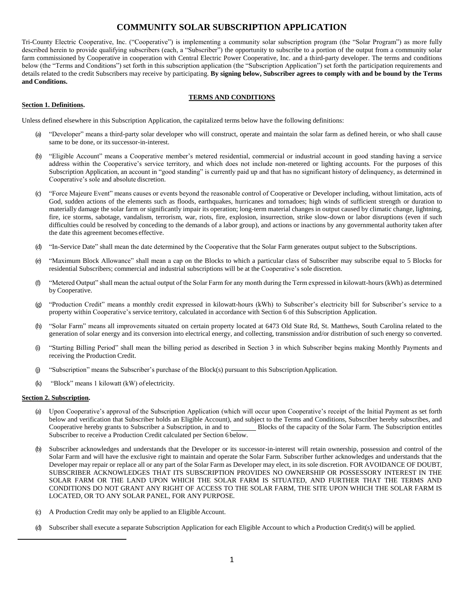# **COMMUNITY SOLAR SUBSCRIPTION APPLICATION**

Tri-County Electric Cooperative, Inc. ("Cooperative") is implementing a community solar subscription program (the "Solar Program") as more fully described herein to provide qualifying subscribers (each, a "Subscriber") the opportunity to subscribe to a portion of the output from a community solar farm commissioned by Cooperative in cooperation with Central Electric Power Cooperative, Inc. and a third-party developer. The terms and conditions below (the "Terms and Conditions") set forth in this subscription application (the "Subscription Application") set forth the participation requirements and details related to the credit Subscribers may receive by participating. **By signing below, Subscriber agrees to comply with and be bound by the Terms and Conditions.**

## **TERMS AND CONDITIONS**

## **Section 1. Definitions.**

Unless defined elsewhere in this Subscription Application, the capitalized terms below have the following definitions:

- (a) "Developer" means a third-party solar developer who will construct, operate and maintain the solar farm as defined herein, or who shall cause same to be done, or its successor-in-interest.
- (b) "Eligible Account" means a Cooperative member's metered residential, commercial or industrial account in good standing having a service address within the Cooperative's service territory, and which does not include non-metered or lighting accounts. For the purposes of this Subscription Application, an account in "good standing" is currently paid up and that has no significant history of delinquency, as determined in Cooperative's sole and absolute discretion.
- (c) "Force Majeure Event" means causes or events beyond the reasonable control of Cooperative or Developer including, without limitation, acts of God, sudden actions of the elements such as floods, earthquakes, hurricanes and tornadoes; high winds of sufficient strength or duration to materially damage the solar farm or significantly impair its operation; long-term material changes in output caused by climatic change, lightning, fire, ice storms, sabotage, vandalism, terrorism, war, riots, fire, explosion, insurrection, strike slow-down or labor disruptions (even if such difficulties could be resolved by conceding to the demands of a labor group), and actions or inactions by any governmental authority taken after the date this agreement becomes effective.
- (d) "In-Service Date" shall mean the date determined by the Cooperative that the Solar Farm generates output subject to the Subscriptions.
- (e) "Maximum Block Allowance" shall mean a cap on the Blocks to which a particular class of Subscriber may subscribe equal to 5 Blocks for residential Subscribers; commercial and industrial subscriptions will be at the Cooperative's sole discretion.
- (f) "Metered Output" shall mean the actual output of the Solar Farm for any month during the Term expressed in kilowatt-hours (kWh) as determined by Cooperative.
- (g) "Production Credit" means a monthly credit expressed in kilowatt-hours (kWh) to Subscriber's electricity bill for Subscriber's service to a property within Cooperative's service territory, calculated in accordance with Section 6 of this Subscription Application.
- (h) "Solar Farm" means all improvements situated on certain property located at 6473 Old State Rd, St. Matthews, South Carolina related to the generation of solar energy and its conversion into electrical energy, and collecting, transmission and/or distribution of such energy so converted.
- (i) "Starting Billing Period" shall mean the billing period as described in Section 3 in which Subscriber begins making Monthly Payments and receiving the Production Credit.
- (j) "Subscription" means the Subscriber's purchase of the Block(s) pursuant to this SubscriptionApplication.
- (k) "Block" means 1 kilowatt (kW) of electricity.

#### **Section 2. Subscription.**

- (a) Upon Cooperative's approval of the Subscription Application (which will occur upon Cooperative's receipt of the Initial Payment as set forth below and verification that Subscriber holds an Eligible Account), and subject to the Terms and Conditions, Subscriber hereby subscribes, and Cooperative hereby grants to Subscriber a Subscription, in and to Blocks of the capacity of the Solar Farm. The Subscription entitles Subscriber to receive a Production Credit calculated per Section 6 below.
- (b) Subscriber acknowledges and understands that the Developer or its successor-in-interest will retain ownership, possession and control of the Solar Farm and will have the exclusive right to maintain and operate the Solar Farm. Subscriber further acknowledges and understands that the Developer may repair or replace all or any part of the Solar Farm as Developer may elect, in its sole discretion. FOR AVOIDANCE OF DOUBT, SUBSCRIBER ACKNOWLEDGES THAT ITS SUBSCRIPTION PROVIDES NO OWNERSHIP OR POSSESSORY INTEREST IN THE SOLAR FARM OR THE LAND UPON WHICH THE SOLAR FARM IS SITUATED, AND FURTHER THAT THE TERMS AND CONDITIONS DO NOT GRANT ANY RIGHT OF ACCESS TO THE SOLAR FARM, THE SITE UPON WHICH THE SOLAR FARM IS LOCATED, OR TO ANY SOLAR PANEL, FOR ANY PURPOSE.
- (c) A Production Credit may only be applied to an Eligible Account.
- (d) Subscriber shall execute a separate Subscription Application for each Eligible Account to which a Production Credit(s) will be applied.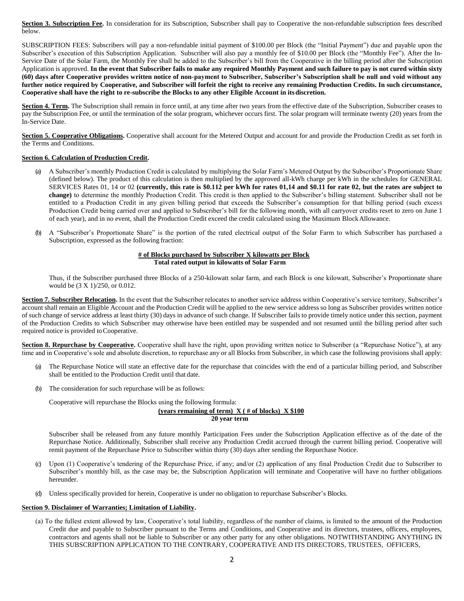Section 3. Subscription Fee. In consideration for its Subscription, Subscriber shall pay to Cooperative the non-refundable subscription fees described below.

SUBSCRIPTION FEES: Subscribers will pay a non-refundable initial payment of \$100.00 per Block (the "Initial Payment") due and payable upon the Subscriber's execution of this Subscription Application. Subscriber will also pay a monthly fee of \$10.00 per Block (the "Monthly Fee"). After the In-Service Date of the Solar Farm, the Monthly Fee shall be added to the Subscriber's bill from the Cooperative in the billing period after the Subscription Application is approved. **In the event that Subscriber fails to make any required Monthly Payment and such failure to pay is not cured within sixty (60) days after Cooperative provides written notice of non-payment to Subscriber, Subscriber's Subscription shall be null and void without any further notice required by Cooperative, and Subscriber will forfeit the right to receive any remaining Production Credits. In such circumstance, Cooperative shall have the right to re-subscribe the Blocks to any other Eligible Account in itsdiscretion.**

**Section 4. Term.** The Subscription shall remain in force until, at any time after two years from the effective date of the Subscription, Subscriber ceases to pay the Subscription Fee, or until the termination of the solar program, whichever occurs first. The solar program will terminate twenty (20) years from the In-Service Date.

**Section 5. Cooperative Obligations.** Cooperative shall account for the Metered Output and account for and provide the Production Credit as set forth in the Terms and Conditions.

#### **Section 6. Calculation of Production Credit.**

- (a) A Subscriber's monthly Production Credit is calculated by multiplying the Solar Farm's Metered Output by the Subscriber's Proportionate Share (defined below). The product of this calculation is then multiplied by the approved all-kWh charge per kWh in the schedules for GENERAL SERVICES Rates 01, 14 or 02 **(currently, this rate is \$0.112 per kWh for rates 01,14 and \$0.11 for rate 02, but the rates are subject to change)** to determine the monthly Production Credit. This credit is then applied to the Subscriber's billing statement. Subscriber shall not be entitled to a Production Credit in any given billing period that exceeds the Subscriber's consumption for that billing period (such excess Production Credit being carried over and applied to Subscriber's bill for the following month, with all carryover credits reset to zero on June 1 of each year), and in no event, shall the Production Credit exceed the credit calculated using the Maximum BlockAllowance.
- (b) A "Subscriber's Proportionate Share" is the portion of the rated electrical output of the Solar Farm to which Subscriber has purchased a Subscription, expressed as the following fraction:

#### **# of Blocks purchased by Subscriber X kilowatts per Block Total rated output in kilowatts of Solar Farm**

Thus, if the Subscriber purchased three Blocks of a 250-kilowatt solar farm, and each Block is one kilowatt, Subscriber's Proportionate share would be (3 X 1)/250, or 0.012.

Section 7. Subscriber Relocation. In the event that the Subscriber relocates to another service address within Cooperative's service territory, Subscriber's account shall remain an Eligible Account and the Production Credit will be applied to the new service address so long as Subscriber provides written notice of such change of service address at least thirty (30) days in advance of such change. If Subscriber fails to provide timely notice under this section, payment of the Production Credits to which Subscriber may otherwise have been entitled may be suspended and not resumed until the billing period after such required notice is provided toCooperative.

**Section 8. Repurchase by Cooperative.** Cooperative shall have the right, upon providing written notice to Subscriber (a "Repurchase Notice"), at any time and in Cooperative's sole and absolute discretion, to repurchase any or all Blocks from Subscriber, in which case the following provisions shall apply:

- (a) The Repurchase Notice will state an effective date for the repurchase that coincides with the end of a particular billing period, and Subscriber shall be entitled to the Production Credit until that date.
- (b) The consideration for such repurchase will be as follows:

Cooperative will repurchase the Blocks using the following formula:

## **(years remaining of term) X ( # of blocks) X \$100**

 **20 year term**

Subscriber shall be released from any future monthly Participation Fees under the Subscription Application effective as of the date of the Repurchase Notice. Additionally, Subscriber shall receive any Production Credit accrued through the current billing period. Cooperative will remit payment of the Repurchase Price to Subscriber within thirty (30) days after sending the Repurchase Notice.

- (c) Upon (1) Cooperative's tendering of the Repurchase Price, if any; and/or (2) application of any final Production Credit due to Subscriber to Subscriber's monthly bill, as the case may be, the Subscription Application will terminate and Cooperative will have no further obligations hereunder.
- (d) Unless specifically provided for herein, Cooperative is under no obligation to repurchase Subscriber's Blocks.

## **Section 9. Disclaimer of Warranties; Limitation of Liability.**

(a) To the fullest extent allowed by law, Cooperative's total liability, regardless of the number of claims, is limited to the amount of the Production Credit due and payable to Subscriber pursuant to the Terms and Conditions, and Cooperative and its directors, trustees, officers, employees, contractors and agents shall not be liable to Subscriber or any other party for any other obligations. NOTWITHSTANDING ANYTHING IN THIS SUBSCRIPTION APPLICATION TO THE CONTRARY, COOPERATIVE AND ITS DIRECTORS, TRUSTEES, OFFICERS,